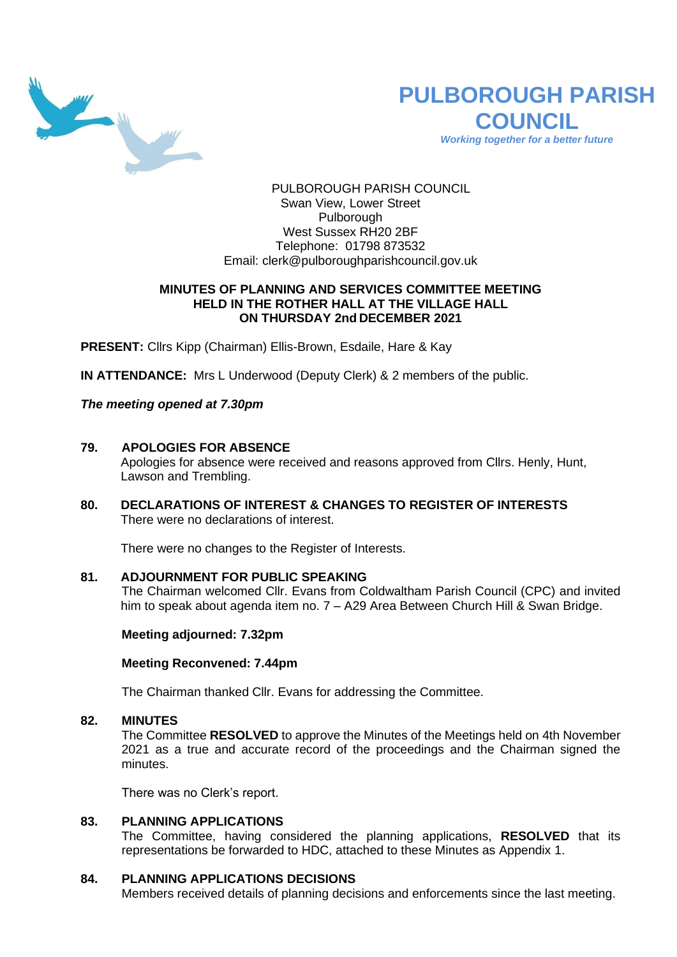

# **PULBOROUGH PARISH COUNCIL**

*Working together for a better future*

PULBOROUGH PARISH COUNCIL Swan View, Lower Street Pulborough West Sussex RH20 2BF Telephone: 01798 873532 Email: [clerk@pulboroughparishcouncil.gov.uk](mailto:clerk@pulboroughparishcouncil.gov.uk)

## **MINUTES OF PLANNING AND SERVICES COMMITTEE MEETING HELD IN THE ROTHER HALL AT THE VILLAGE HALL ON THURSDAY 2nd DECEMBER 2021**

**PRESENT:** Cllrs Kipp (Chairman) Ellis-Brown, Esdaile, Hare & Kay

**IN ATTENDANCE:** Mrs L Underwood (Deputy Clerk) & 2 members of the public.

*The meeting opened at 7.30pm* 

**79. APOLOGIES FOR ABSENCE**

Apologies for absence were received and reasons approved from Cllrs. Henly, Hunt, Lawson and Trembling.

**80. DECLARATIONS OF INTEREST & CHANGES TO REGISTER OF INTERESTS** There were no declarations of interest.

There were no changes to the Register of Interests.

## **81. ADJOURNMENT FOR PUBLIC SPEAKING**

The Chairman welcomed Cllr. Evans from Coldwaltham Parish Council (CPC) and invited him to speak about agenda item no. 7 - A29 Area Between Church Hill & Swan Bridge.

## **Meeting adjourned: 7.32pm**

## **Meeting Reconvened: 7.44pm**

The Chairman thanked Cllr. Evans for addressing the Committee.

#### **82. MINUTES**

The Committee **RESOLVED** to approve the Minutes of the Meetings held on 4th November 2021 as a true and accurate record of the proceedings and the Chairman signed the minutes.

There was no Clerk's report.

## **83. PLANNING APPLICATIONS**

The Committee, having considered the planning applications, **RESOLVED** that its representations be forwarded to HDC, attached to these Minutes as Appendix 1.

## **84. PLANNING APPLICATIONS DECISIONS**

Members received details of planning decisions and enforcements since the last meeting.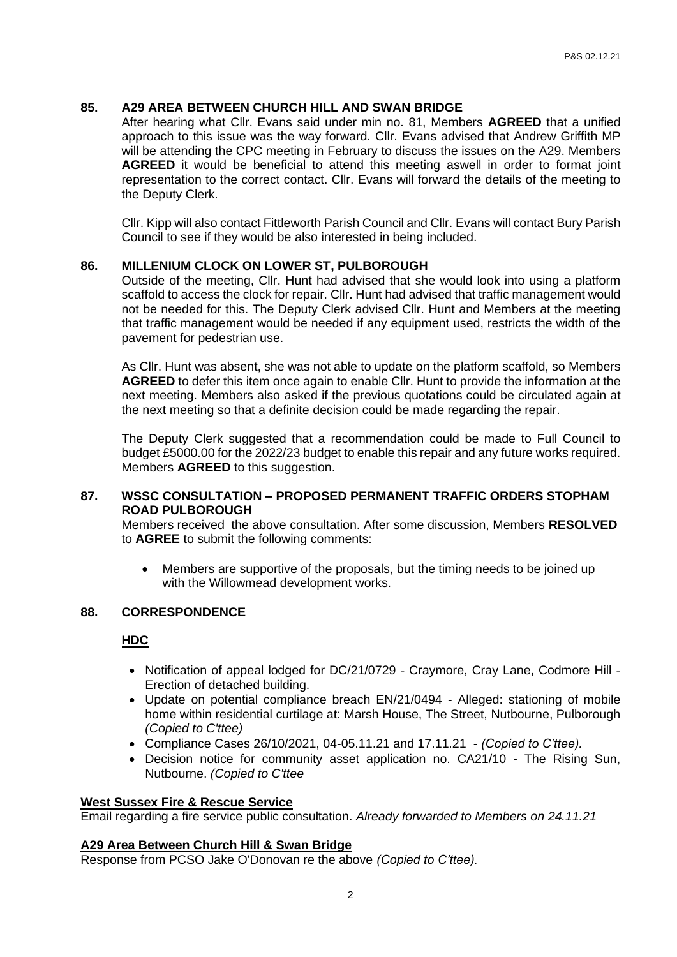#### **85. A29 AREA BETWEEN CHURCH HILL AND SWAN BRIDGE**

After hearing what Cllr. Evans said under min no. 81, Members **AGREED** that a unified approach to this issue was the way forward. Cllr. Evans advised that Andrew Griffith MP will be attending the CPC meeting in February to discuss the issues on the A29. Members **AGREED** it would be beneficial to attend this meeting aswell in order to format joint representation to the correct contact. Cllr. Evans will forward the details of the meeting to the Deputy Clerk.

Cllr. Kipp will also contact Fittleworth Parish Council and Cllr. Evans will contact Bury Parish Council to see if they would be also interested in being included.

#### **86. MILLENIUM CLOCK ON LOWER ST, PULBOROUGH**

Outside of the meeting, Cllr. Hunt had advised that she would look into using a platform scaffold to access the clock for repair. Cllr. Hunt had advised that traffic management would not be needed for this. The Deputy Clerk advised Cllr. Hunt and Members at the meeting that traffic management would be needed if any equipment used, restricts the width of the pavement for pedestrian use.

As Cllr. Hunt was absent, she was not able to update on the platform scaffold, so Members **AGREED** to defer this item once again to enable Cllr. Hunt to provide the information at the next meeting. Members also asked if the previous quotations could be circulated again at the next meeting so that a definite decision could be made regarding the repair.

The Deputy Clerk suggested that a recommendation could be made to Full Council to budget £5000.00 for the 2022/23 budget to enable this repair and any future works required. Members **AGREED** to this suggestion.

### **87. WSSC CONSULTATION – PROPOSED PERMANENT TRAFFIC ORDERS STOPHAM ROAD PULBOROUGH**

Members received the above consultation. After some discussion, Members **RESOLVED**  to **AGREE** to submit the following comments:

• Members are supportive of the proposals, but the timing needs to be joined up with the Willowmead development works.

#### **88. CORRESPONDENCE**

#### **HDC**

- Notification of appeal lodged for DC/21/0729 Craymore, Cray Lane, Codmore Hill Erection of detached building.
- Update on potential compliance breach EN/21/0494 Alleged: stationing of mobile home within residential curtilage at: Marsh House, The Street, Nutbourne, Pulborough *(Copied to C'ttee)*
- Compliance Cases 26/10/2021, 04-05.11.21 and 17.11.21 *(Copied to C'ttee).*
- Decision notice for community asset application no. CA21/10 The Rising Sun, Nutbourne. *(Copied to C'ttee*

#### **West Sussex Fire & Rescue Service**

Email regarding a fire service public consultation. *Already forwarded to Members on 24.11.21*

#### **A29 Area Between Church Hill & Swan Bridge**

Response from PCSO Jake O'Donovan re the above *(Copied to C'ttee).*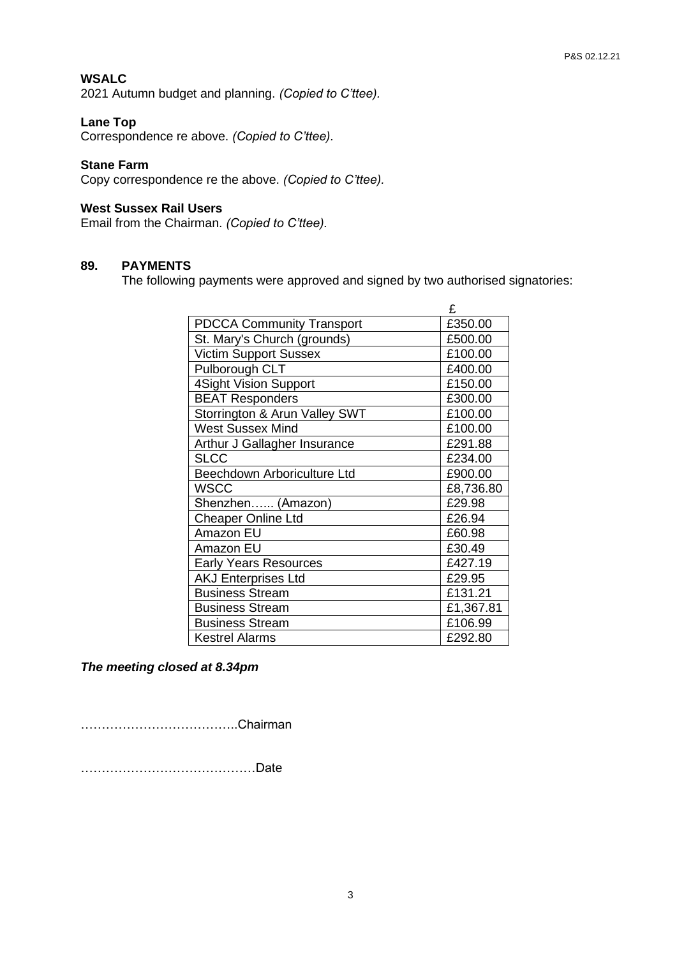## **WSALC**

2021 Autumn budget and planning. *(Copied to C'ttee).*

#### **Lane Top**

Correspondence re above. *(Copied to C'ttee).*

#### **Stane Farm**

Copy correspondence re the above. *(Copied to C'ttee).*

#### **West Sussex Rail Users**

Email from the Chairman. *(Copied to C'ttee).*

#### **89. PAYMENTS**

The following payments were approved and signed by two authorised signatories:

|                                  | £         |
|----------------------------------|-----------|
| <b>PDCCA Community Transport</b> | £350.00   |
| St. Mary's Church (grounds)      | £500.00   |
| <b>Victim Support Sussex</b>     | £100.00   |
| Pulborough CLT                   | £400.00   |
| 4Sight Vision Support            | £150.00   |
| <b>BEAT Responders</b>           | £300.00   |
| Storrington & Arun Valley SWT    | £100.00   |
| <b>West Sussex Mind</b>          | £100.00   |
| Arthur J Gallagher Insurance     | £291.88   |
| <b>SLCC</b>                      | £234.00   |
| Beechdown Arboriculture Ltd      | £900.00   |
| WSCC                             | £8,736.80 |
| Shenzhen (Amazon)                | £29.98    |
| <b>Cheaper Online Ltd</b>        | £26.94    |
| Amazon EU                        | £60.98    |
| Amazon EU                        | £30.49    |
| <b>Early Years Resources</b>     | £427.19   |
| <b>AKJ Enterprises Ltd</b>       | £29.95    |
| <b>Business Stream</b>           | £131.21   |
| <b>Business Stream</b>           | £1,367.81 |
| <b>Business Stream</b>           | £106.99   |
| <b>Kestrel Alarms</b>            | £292.80   |

*The meeting closed at 8.34pm*

………………………………..Chairman

……………………………………Date